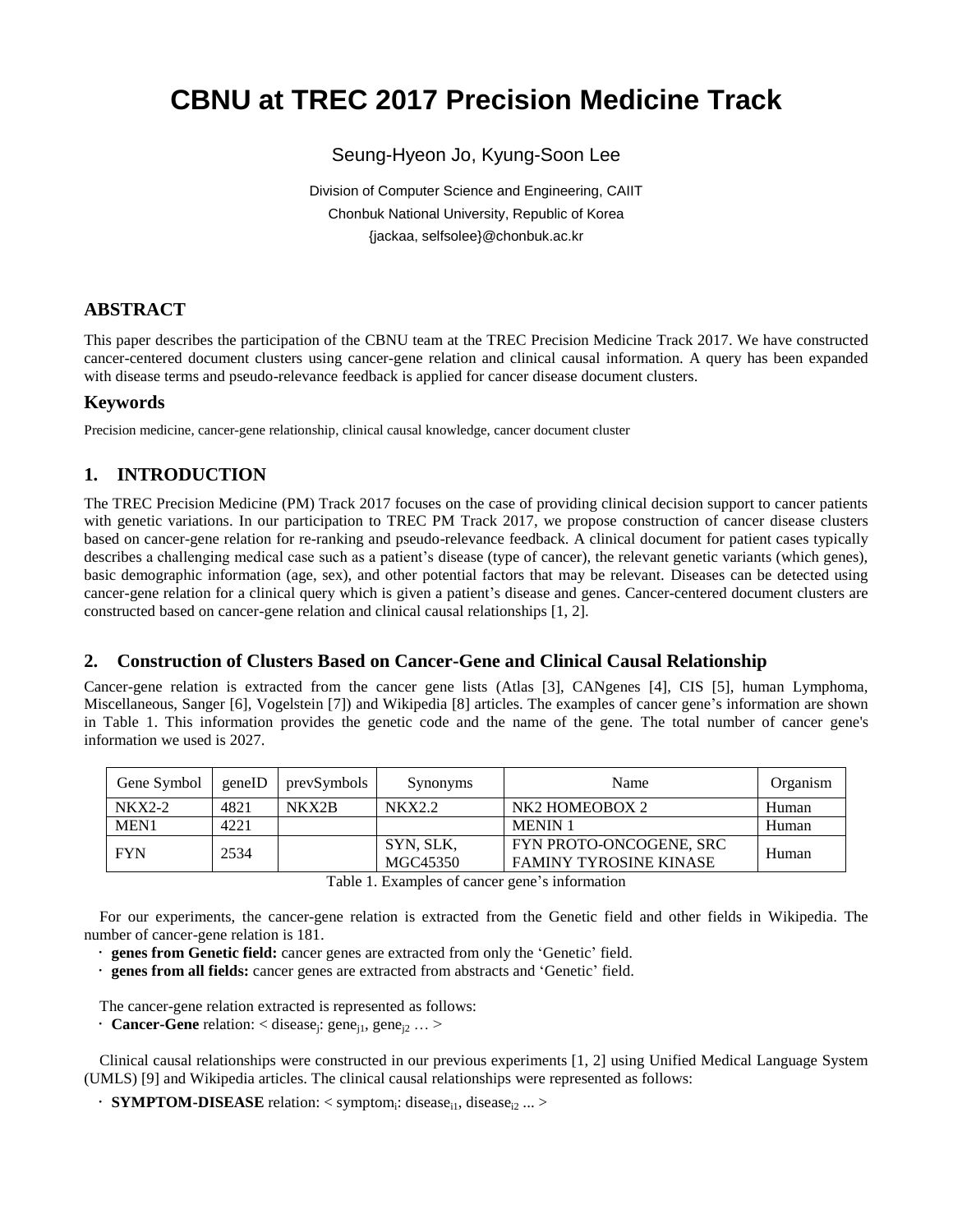# **CBNU at TREC 2017 Precision Medicine Track**

# Seung-Hyeon Jo, Kyung-Soon Lee

Division of Computer Science and Engineering, CAIIT Chonbuk National University, Republic of Korea {jackaa, selfsolee}@chonbuk.ac.kr

# **ABSTRACT**

This paper describes the participation of the CBNU team at the TREC Precision Medicine Track 2017. We have constructed cancer-centered document clusters using cancer-gene relation and clinical causal information. A query has been expanded with disease terms and pseudo-relevance feedback is applied for cancer disease document clusters.

### **Keywords**

Precision medicine, cancer-gene relationship, clinical causal knowledge, cancer document cluster

# **1. INTRODUCTION**

The TREC Precision Medicine (PM) Track 2017 focuses on the case of providing clinical decision support to cancer patients with genetic variations. In our participation to TREC PM Track 2017, we propose construction of cancer disease clusters based on cancer-gene relation for re-ranking and pseudo-relevance feedback. A clinical document for patient cases typically describes a challenging medical case such as a patient's disease (type of cancer), the relevant genetic variants (which genes), basic demographic information (age, sex), and other potential factors that may be relevant. Diseases can be detected using cancer-gene relation for a clinical query which is given a patient's disease and genes. Cancer-centered document clusters are constructed based on cancer-gene relation and clinical causal relationships [1, 2].

### **2. Construction of Clusters Based on Cancer-Gene and Clinical Causal Relationship**

Cancer-gene relation is extracted from the cancer gene lists (Atlas [3], CANgenes [4], CIS [5], human Lymphoma, Miscellaneous, Sanger [6], Vogelstein [7]) and Wikipedia [8] articles. The examples of cancer gene's information are shown in Table 1. This information provides the genetic code and the name of the gene. The total number of cancer gene's information we used is 2027.

| Gene Symbol | geneID | prevSymbols | Synonyms              | Name                                                     | Organism |
|-------------|--------|-------------|-----------------------|----------------------------------------------------------|----------|
| $NKX2-2$    | 4821   | NKX2B       | <b>NKX2.2</b>         | NK <sub>2</sub> HOMEOBOX 2                               | Human    |
| MEN1        | 4221   |             |                       | <b>MENIN1</b>                                            | Human    |
| <b>FYN</b>  | 2534   |             | SYN, SLK,<br>MGC45350 | FYN PROTO-ONCOGENE, SRC<br><b>FAMINY TYROSINE KINASE</b> | Human    |

Table 1. Examples of cancer gene's information

For our experiments, the cancer-gene relation is extracted from the Genetic field and other fields in Wikipedia. The number of cancer-gene relation is 181.

**genes from Genetic field:** cancer genes are extracted from only the 'Genetic' field.

**genes from all fields:** cancer genes are extracted from abstracts and 'Genetic' field.

The cancer-gene relation extracted is represented as follows:

**Cancer-Gene** relation:  $\langle$  disease<sub>j</sub>: gene<sub>j1</sub>, gene<sub>j2</sub> ...  $>$ 

Clinical causal relationships were constructed in our previous experiments [1, 2] using Unified Medical Language System (UMLS) [9] and Wikipedia articles. The clinical causal relationships were represented as follows:

**SYMPTOM-DISEASE** relation: < symptom<sub>i</sub>: disease<sub>i1</sub>, disease<sub>i2</sub> ... >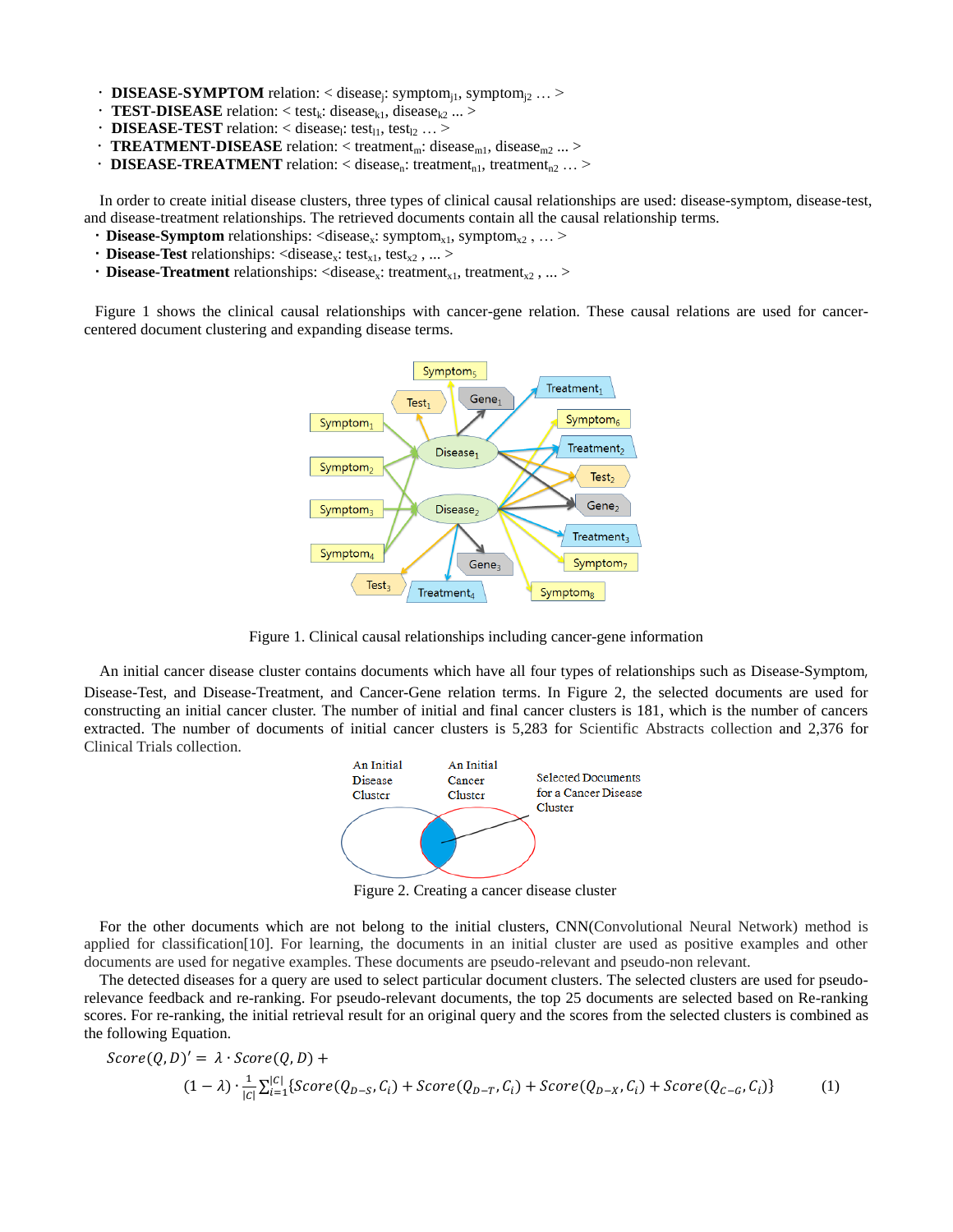- **DISEASE-SYMPTOM** relation: < disease<sub>j</sub>: symptom<sub>j1</sub>, symptom<sub>j2</sub> ... >
- **TEST-DISEASE** relation:  $\langle$  test<sub>k</sub>: disease<sub>k1</sub>, disease<sub>k2</sub> ...  $>$
- $\cdot$  **DISEASE-TEST** relation: < disease<sub>l</sub>: test<sub>11</sub>, test<sub>12</sub> ... >
- **TREATMENT-DISEASE** relation: < treatment<sub>m</sub>: disease<sub>m1</sub>, disease<sub>m2</sub> ... >
- **DISEASE-TREATMENT** relation: < disease<sub>n</sub>: treatment<sub>n1</sub>, treatment<sub>n2</sub> ... >

In order to create initial disease clusters, three types of clinical causal relationships are used: disease-symptom, disease-test, and disease-treatment relationships. The retrieved documents contain all the causal relationship terms.

- **Disease-Symptom** relationships: <disease<sub>x</sub>: symptom<sub>x1</sub>, symptom<sub>x2</sub>, ... >
- **Disease-Test** relationships: <disease<sub>x</sub>: test<sub>x1</sub>, test<sub>x2</sub>, ... >
- **Disease-Treatment** relationships: <disease<sub>x</sub>: treatment<sub>x1</sub>, treatment<sub>x2</sub>, ... >

Figure 1 shows the clinical causal relationships with cancer-gene relation. These causal relations are used for cancercentered document clustering and expanding disease terms.



Figure 1. Clinical causal relationships including cancer-gene information

An initial cancer disease cluster contains documents which have all four types of relationships such as Disease-Symptom, Disease-Test, and Disease-Treatment, and Cancer-Gene relation terms. In Figure 2, the selected documents are used for constructing an initial cancer cluster. The number of initial and final cancer clusters is 181, which is the number of cancers extracted. The number of documents of initial cancer clusters is 5,283 for Scientific Abstracts collection and 2,376 for Clinical Trials collection.



Figure 2. Creating a cancer disease cluster

For the other documents which are not belong to the initial clusters, CNN(Convolutional Neural Network) method is applied for classification[10]. For learning, the documents in an initial cluster are used as positive examples and other documents are used for negative examples. These documents are pseudo-relevant and pseudo-non relevant.

The detected diseases for a query are used to select particular document clusters. The selected clusters are used for pseudorelevance feedback and re-ranking. For pseudo-relevant documents, the top 25 documents are selected based on Re-ranking scores. For re-ranking, the initial retrieval result for an original query and the scores from the selected clusters is combined as the following Equation.

$$
Score(Q, D)' = \lambda \cdot Score(Q, D) +
$$
  

$$
(1 - \lambda) \cdot \frac{1}{|C|} \sum_{i=1}^{|C|} \{Score(Q_{D-S}, C_i) + Score(Q_{D-T}, C_i) + Score(Q_{D-X}, C_i) + Score(Q_{C-G}, C_i)\}
$$
 (1)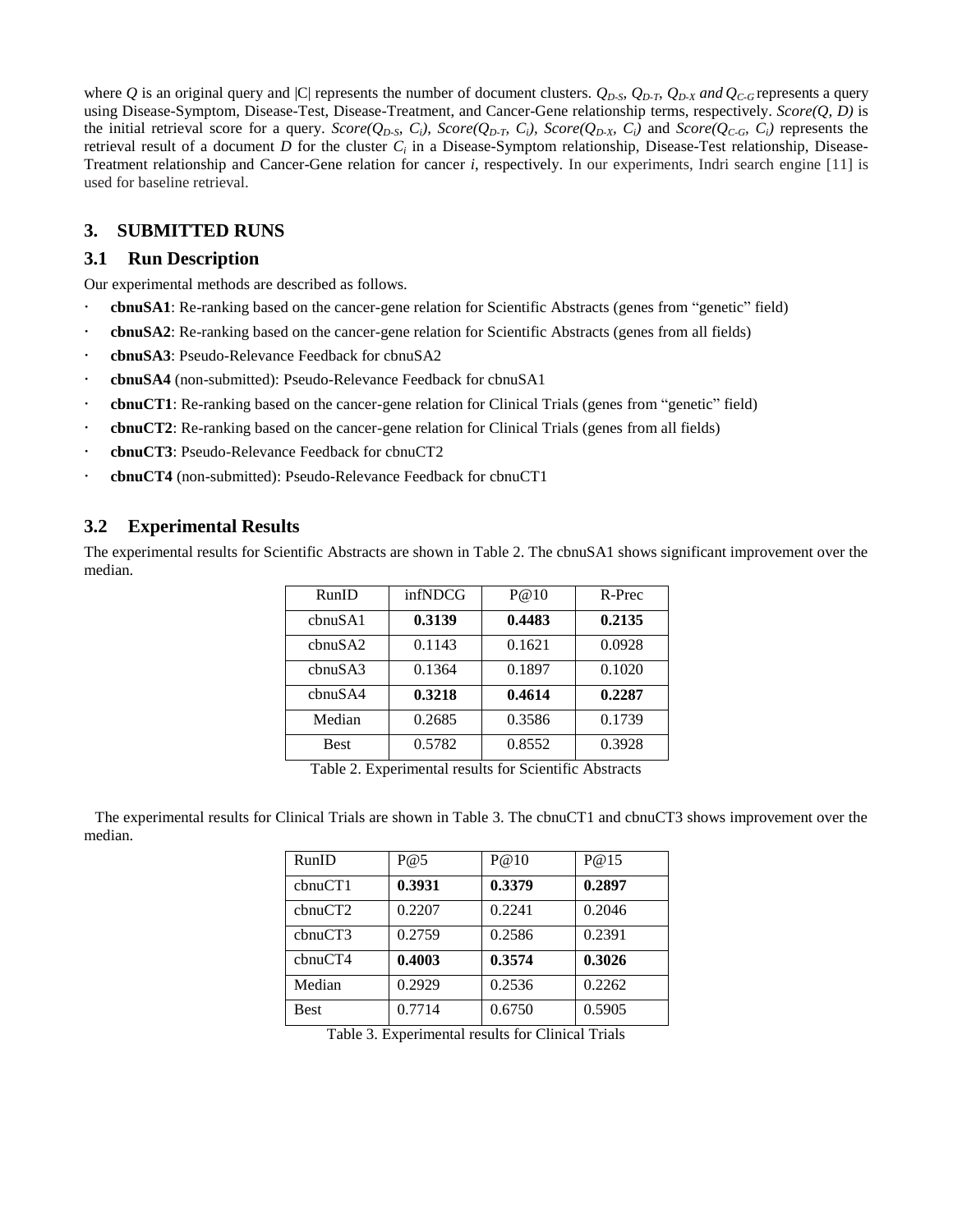where *Q* is an original query and |C| represents the number of document clusters.  $Q_{D-S}$ ,  $Q_{D-T}$ ,  $Q_{D-X}$  *and*  $Q_{C-G}$  represents a query using Disease-Symptom, Disease-Test, Disease-Treatment, and Cancer-Gene relationship terms, respectively. *Score(Q, D)* is the initial retrieval score for a query.  $Score(Q_{D-S}, C_i)$ ,  $Score(Q_{D-T}, C_i)$ ,  $Score(Q_{D-S}, C_i)$  and  $Score(Q_{C-G}, C_i)$  represents the retrieval result of a document *D* for the cluster *C<sup>i</sup>* in a Disease-Symptom relationship, Disease-Test relationship, Disease-Treatment relationship and Cancer-Gene relation for cancer *i*, respectively. In our experiments, Indri search engine [11] is used for baseline retrieval.

## **3. SUBMITTED RUNS**

## **3.1 Run Description**

Our experimental methods are described as follows.

- **cbnuSA1**: Re-ranking based on the cancer-gene relation for Scientific Abstracts (genes from "genetic" field)
- **cbnuSA2**: Re-ranking based on the cancer-gene relation for Scientific Abstracts (genes from all fields)
- **cbnuSA3**: Pseudo-Relevance Feedback for cbnuSA2
- **cbnuSA4** (non-submitted): Pseudo-Relevance Feedback for cbnuSA1
- **cbnuCT1**: Re-ranking based on the cancer-gene relation for Clinical Trials (genes from "genetic" field)
- **cbnuCT2**: Re-ranking based on the cancer-gene relation for Clinical Trials (genes from all fields)
- **cbnuCT3**: Pseudo-Relevance Feedback for cbnuCT2
- **cbnuCT4** (non-submitted): Pseudo-Relevance Feedback for cbnuCT1

## **3.2 Experimental Results**

The experimental results for Scientific Abstracts are shown in Table 2. The cbnuSA1 shows significant improvement over the median.

| RunID                | infNDCG | P@10   | R-Prec |
|----------------------|---------|--------|--------|
| chnu <sub>S</sub> A1 | 0.3139  | 0.4483 | 0.2135 |
| cbnuSA2              | 0.1143  | 0.1621 | 0.0928 |
| chnu S A3            | 0.1364  | 0.1897 | 0.1020 |
| chnu SAA             | 0.3218  | 0.4614 | 0.2287 |
| Median               | 0.2685  | 0.3586 | 0.1739 |
| <b>Best</b>          | 0.5782  | 0.8552 | 0.3928 |

Table 2. Experimental results for Scientific Abstracts

The experimental results for Clinical Trials are shown in Table 3. The cbnuCT1 and cbnuCT3 shows improvement over the median.

| RunID       | P@5    | P@10   | P@15   |
|-------------|--------|--------|--------|
| chnuCT1     | 0.3931 | 0.3379 | 0.2897 |
| cbnuCT2     | 0.2207 | 0.2241 | 0.2046 |
| chnuCT3     | 0.2759 | 0.2586 | 0.2391 |
| chnuCT4     | 0.4003 | 0.3574 | 0.3026 |
| Median      | 0.2929 | 0.2536 | 0.2262 |
| <b>Best</b> | 0.7714 | 0.6750 | 0.5905 |

Table 3. Experimental results for Clinical Trials